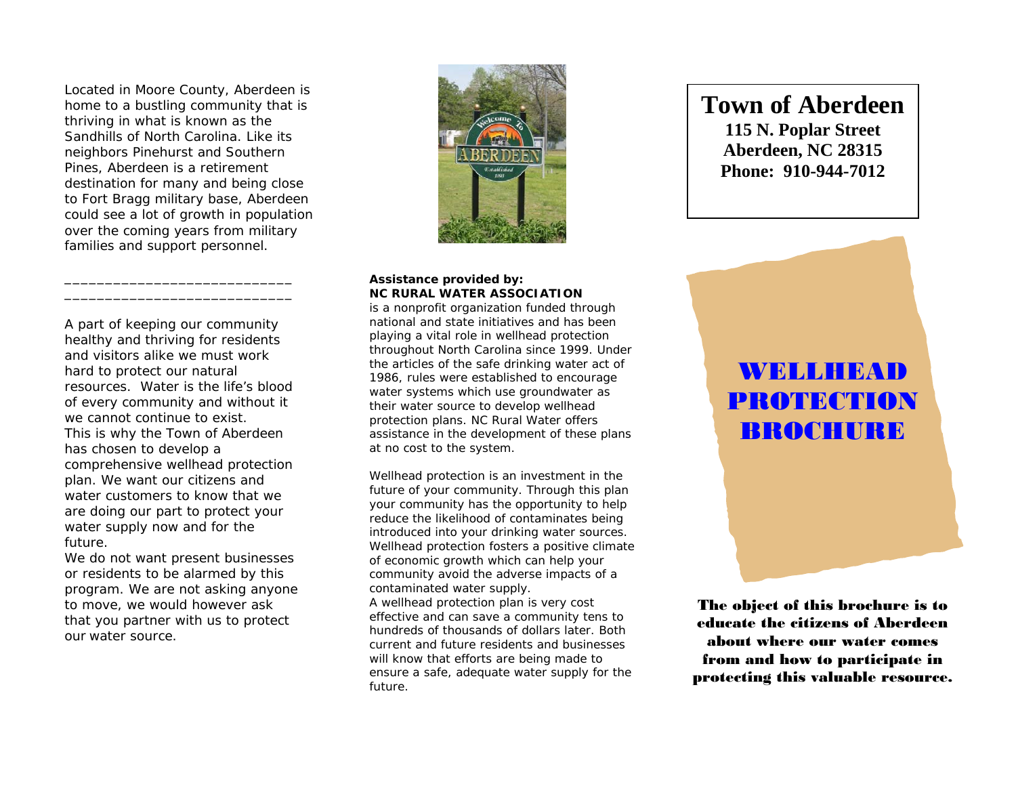Located in Moore County, Aberdeen is home to a bustling community that is thriving in what is known as the Sandhills of North Carolina. Like its neighbors Pinehurst and Southern Pines, Aberdeen is a retirement destination for many and being close to Fort Bragg military base, Aberdeen could see a lot of growth in population over the coming years from military families and support personnel.

A part of keeping our community healthy and thriving for residents and visitors alike we must work hard to protect our natural resources. Water is the life's blood of every community and without it we cannot continue to exist. This is why the Town of Aberdeen has chosen to develop a comprehensive wellhead protection plan. We want our citizens and water customers to know that we are doing our part to protect your water supply now and for the future.

\_\_\_\_\_\_\_\_\_\_\_\_\_\_\_\_\_\_\_\_\_\_\_\_\_\_\_\_

We do not want present businesses or residents to be alarmed by this program. We are not asking anyone to move, we would however ask that you partner with us to protect our water source.



#### **Assistance provided by: NC RURAL WATER ASSOCIATION**

is a nonprofit organization funded through national and state initiatives and has been playing a vital role in wellhead protection throughout North Carolina since 1999. Under the articles of the safe drinking water act of 1986, rules were established to encourage water systems which use groundwater as their water source to develop wellhead protection plans. NC Rural Water offers assistance in the development of these plans at no cost to the system.

Wellhead protection is an investment in the future of your community. Through this plan your community has the opportunity to help reduce the likelihood of contaminates being introduced into your drinking water sources. Wellhead protection fosters a positive climate of economic growth which can help your community avoid the adverse impacts of a contaminated water supply. A wellhead protection plan is very cost effective and can save a community tens to hundreds of thousands of dollars later. Both current and future residents and businesses will know that efforts are being made to ensure a safe, adequate water supply for the future.

# **WELLHEAD** PROTECTION BROCHURE

**Town of Aberdeen** 

**115 N. Poplar Street Aberdeen, NC 28315 Phone: 910-944-7012** 

The object of this brochure is to educate the citizens of Aberdeen about where our water comes from and how to participate in protecting this valuable resource.